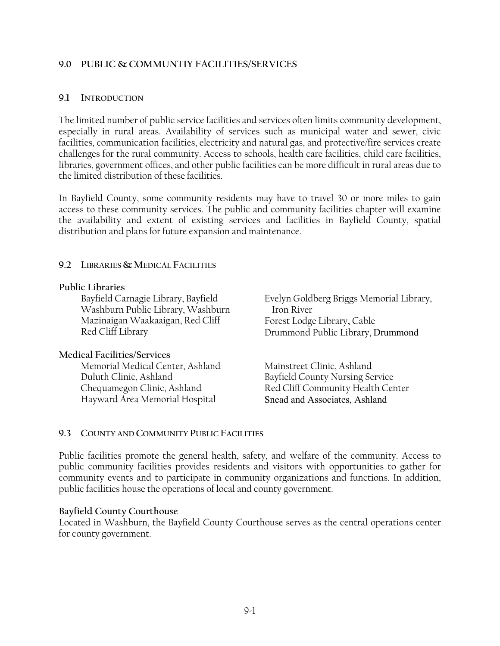#### **9.0 PUBLIC & COMMUNTIY FACILITIES/SERVICES**

#### **9.1 INTRODUCTION**

The limited number of public service facilities and services often limits community development, especially in rural areas. Availability of services such as municipal water and sewer, civic facilities, communication facilities, electricity and natural gas, and protective/fire services create challenges for the rural community. Access to schools, health care facilities, child care facilities, libraries, government offices, and other public facilities can be more difficult in rural areas due to the limited distribution of these facilities.

In Bayfield County, some community residents may have to travel 30 or more miles to gain access to these community services. The public and community facilities chapter will examine the availability and extent of existing services and facilities in Bayfield County, spatial distribution and plans for future expansion and maintenance.

## **9.2 LIBRARIES & MEDICAL FACILITIES**

#### **Public Libraries**

Bayfield Carnagie Library, Bayfield Washburn Public Library, Washburn Mazinaigan Waakaaigan, Red Cliff Red Cliff Library

#### **Medical Facilities/Services**

Memorial Medical Center, Ashland Duluth Clinic, Ashland Chequamegon Clinic, Ashland Hayward Area Memorial Hospital

Evelyn Goldberg Briggs Memorial Library, Iron River Forest Lodge Library**,** Cable Drummond Public Library, Drummond

Mainstreet Clinic, Ashland Bayfield County Nursing Service Red Cliff Community Health Center Snead and Associates, Ashland

# **9.3 COUNTY AND COMMUNITY PUBLIC FACILITIES**

Public facilities promote the general health, safety, and welfare of the community. Access to public community facilities provides residents and visitors with opportunities to gather for community events and to participate in community organizations and functions. In addition, public facilities house the operations of local and county government.

#### **Bayfield County Courthouse**

Located in Washburn, the Bayfield County Courthouse serves as the central operations center for county government.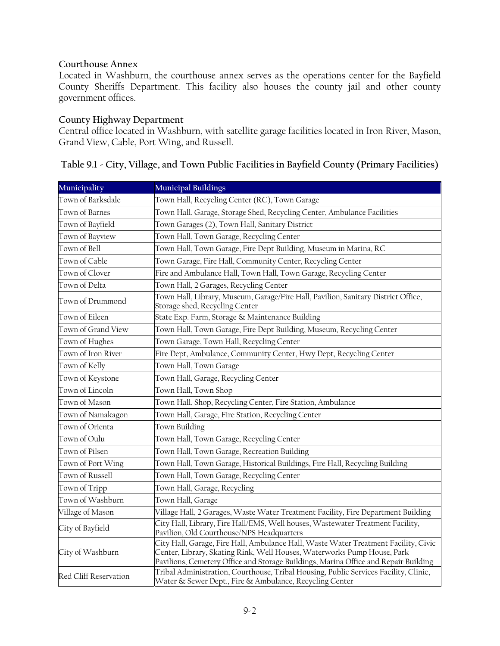# **Courthouse Annex**

Located in Washburn, the courthouse annex serves as the operations center for the Bayfield County Sheriffs Department. This facility also houses the county jail and other county government offices.

#### **County Highway Department**

Central office located in Washburn, with satellite garage facilities located in Iron River, Mason, Grand View, Cable, Port Wing, and Russell.

| Table 9.1 - City, Village, and Town Public Facilities in Bayfield County (Primary Facilities) |  |
|-----------------------------------------------------------------------------------------------|--|
|-----------------------------------------------------------------------------------------------|--|

| Municipality          | <b>Municipal Buildings</b>                                                                                                                                                                                                                            |  |
|-----------------------|-------------------------------------------------------------------------------------------------------------------------------------------------------------------------------------------------------------------------------------------------------|--|
| Town of Barksdale     | Town Hall, Recycling Center (RC), Town Garage                                                                                                                                                                                                         |  |
| Town of Barnes        | Town Hall, Garage, Storage Shed, Recycling Center, Ambulance Facilities                                                                                                                                                                               |  |
| Town of Bayfield      | Town Garages (2), Town Hall, Sanitary District                                                                                                                                                                                                        |  |
| Town of Bayview       | Town Hall, Town Garage, Recycling Center                                                                                                                                                                                                              |  |
| Town of Bell          | Town Hall, Town Garage, Fire Dept Building, Museum in Marina, RC                                                                                                                                                                                      |  |
| Town of Cable         | Town Garage, Fire Hall, Community Center, Recycling Center                                                                                                                                                                                            |  |
| Town of Clover        | Fire and Ambulance Hall, Town Hall, Town Garage, Recycling Center                                                                                                                                                                                     |  |
| Town of Delta         | Town Hall, 2 Garages, Recycling Center                                                                                                                                                                                                                |  |
| Town of Drummond      | Town Hall, Library, Museum, Garage/Fire Hall, Pavilion, Sanitary District Office,<br>Storage shed, Recycling Center                                                                                                                                   |  |
| Town of Eileen        | State Exp. Farm, Storage & Maintenance Building                                                                                                                                                                                                       |  |
| Town of Grand View    | Town Hall, Town Garage, Fire Dept Building, Museum, Recycling Center                                                                                                                                                                                  |  |
| Town of Hughes        | Town Garage, Town Hall, Recycling Center                                                                                                                                                                                                              |  |
| Town of Iron River    | Fire Dept, Ambulance, Community Center, Hwy Dept, Recycling Center                                                                                                                                                                                    |  |
| Town of Kelly         | Town Hall, Town Garage                                                                                                                                                                                                                                |  |
| Town of Keystone      | Town Hall, Garage, Recycling Center                                                                                                                                                                                                                   |  |
| Town of Lincoln       | Town Hall, Town Shop                                                                                                                                                                                                                                  |  |
| Town of Mason         | Town Hall, Shop, Recycling Center, Fire Station, Ambulance                                                                                                                                                                                            |  |
| Town of Namakagon     | Town Hall, Garage, Fire Station, Recycling Center                                                                                                                                                                                                     |  |
| Town of Orienta       | Town Building                                                                                                                                                                                                                                         |  |
| Town of Oulu          | Town Hall, Town Garage, Recycling Center                                                                                                                                                                                                              |  |
| Town of Pilsen        | Town Hall, Town Garage, Recreation Building                                                                                                                                                                                                           |  |
| Town of Port Wing     | Town Hall, Town Garage, Historical Buildings, Fire Hall, Recycling Building                                                                                                                                                                           |  |
| Town of Russell       | Town Hall, Town Garage, Recycling Center                                                                                                                                                                                                              |  |
| Town of Tripp         | Town Hall, Garage, Recycling                                                                                                                                                                                                                          |  |
| Town of Washburn      | Town Hall, Garage                                                                                                                                                                                                                                     |  |
| Village of Mason      | Village Hall, 2 Garages, Waste Water Treatment Facility, Fire Department Building                                                                                                                                                                     |  |
| City of Bayfield      | City Hall, Library, Fire Hall/EMS, Well houses, Wastewater Treatment Facility,<br>Pavilion, Old Courthouse/NPS Headquarters                                                                                                                           |  |
| City of Washburn      | City Hall, Garage, Fire Hall, Ambulance Hall, Waste Water Treatment Facility, Civic<br>Center, Library, Skating Rink, Well Houses, Waterworks Pump House, Park<br>Pavilions, Cemetery Office and Storage Buildings, Marina Office and Repair Building |  |
| Red Cliff Reservation | Tribal Administration, Courthouse, Tribal Housing, Public Services Facility, Clinic,<br>Water & Sewer Dept., Fire & Ambulance, Recycling Center                                                                                                       |  |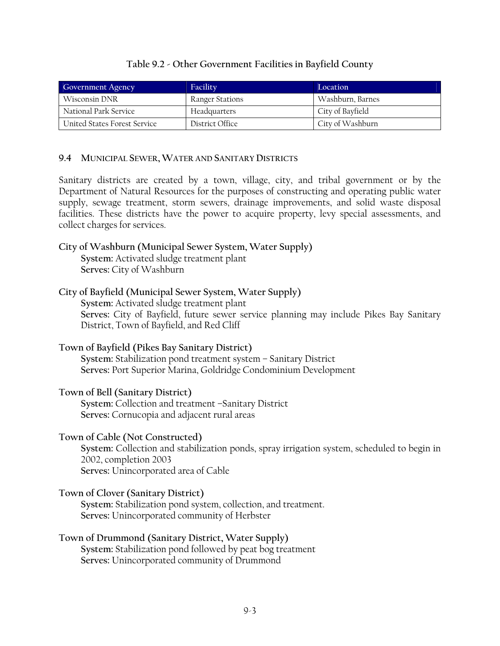## **Table 9.2 - Other Government Facilities in Bayfield County**

| <b>Government Agency</b>     | Facility        | Location         |
|------------------------------|-----------------|------------------|
| Wisconsin DNR                | Ranger Stations | Washburn, Barnes |
| National Park Service        | Headquarters    | City of Bayfield |
| United States Forest Service | District Office | City of Washburn |

#### **9.4 MUNICIPAL SEWER,WATER AND SANITARY DISTRICTS**

Sanitary districts are created by a town, village, city, and tribal government or by the Department of Natural Resources for the purposes of constructing and operating public water supply, sewage treatment, storm sewers, drainage improvements, and solid waste disposal facilities. These districts have the power to acquire property, levy special assessments, and collect charges for services.

#### **City of Washburn (Municipal Sewer System, Water Supply) System:** Activated sludge treatment plant

**Serves:** City of Washburn

#### **City of Bayfield (Municipal Sewer System, Water Supply)**

**System:** Activated sludge treatment plant **Serves:** City of Bayfield, future sewer service planning may include Pikes Bay Sanitary District, Town of Bayfield, and Red Cliff

# **Town of Bayfield (Pikes Bay Sanitary District)**

**System:** Stabilization pond treatment system – Sanitary District **Serves:** Port Superior Marina, Goldridge Condominium Development

#### **Town of Bell (Sanitary District)**

**System:** Collection and treatment –Sanitary District **Serves:** Cornucopia and adjacent rural areas

#### **Town of Cable (Not Constructed)**

**System:** Collection and stabilization ponds, spray irrigation system, scheduled to begin in 2002, completion 2003 **Serves:** Unincorporated area of Cable

#### **Town of Clover (Sanitary District)**

**System:** Stabilization pond system, collection, and treatment. **Serves:** Unincorporated community of Herbster

# **Town of Drummond (Sanitary District, Water Supply)**

**System:** Stabilization pond followed by peat bog treatment **Serves:** Unincorporated community of Drummond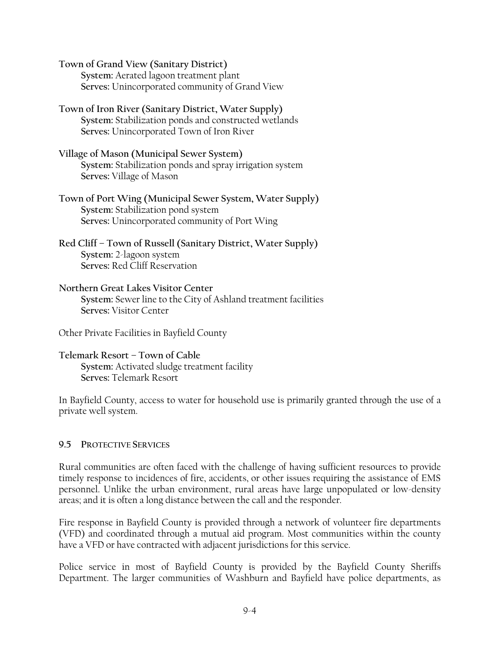**Town of Grand View (Sanitary District) System:** Aerated lagoon treatment plant **Serves:** Unincorporated community of Grand View

**Town of Iron River (Sanitary District, Water Supply) System:** Stabilization ponds and constructed wetlands **Serves:** Unincorporated Town of Iron River

**Village of Mason (Municipal Sewer System) System:** Stabilization ponds and spray irrigation system **Serves:** Village of Mason

**Town of Port Wing (Municipal Sewer System, Water Supply) System:** Stabilization pond system **Serves:** Unincorporated community of Port Wing

**Red Cliff – Town of Russell (Sanitary District, Water Supply) System:** 2-lagoon system **Serves:** Red Cliff Reservation

**Northern Great Lakes Visitor Center System:** Sewer line to the City of Ashland treatment facilities **Serves:** Visitor Center

Other Private Facilities in Bayfield County

**Telemark Resort – Town of Cable System:** Activated sludge treatment facility **Serves:** Telemark Resort

In Bayfield County, access to water for household use is primarily granted through the use of a private well system.

# **9.5 PROTECTIVE SERVICES**

Rural communities are often faced with the challenge of having sufficient resources to provide timely response to incidences of fire, accidents, or other issues requiring the assistance of EMS personnel. Unlike the urban environment, rural areas have large unpopulated or low-density areas; and it is often a long distance between the call and the responder.

Fire response in Bayfield County is provided through a network of volunteer fire departments (VFD) and coordinated through a mutual aid program. Most communities within the county have a VFD or have contracted with adjacent jurisdictions for this service.

Police service in most of Bayfield County is provided by the Bayfield County Sheriffs Department. The larger communities of Washburn and Bayfield have police departments, as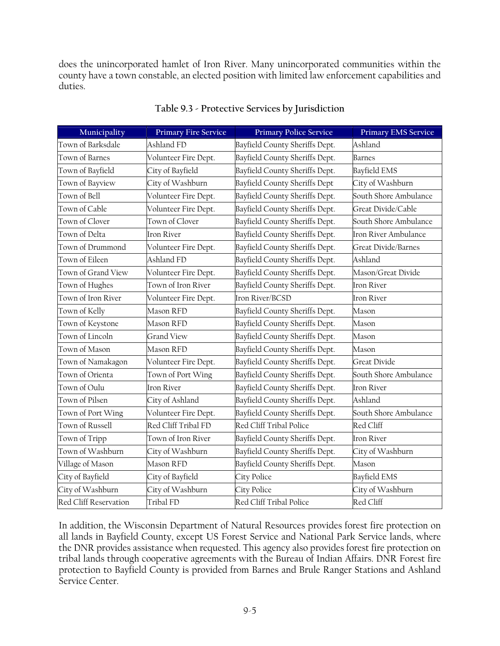does the unincorporated hamlet of Iron River. Many unincorporated communities within the county have a town constable, an elected position with limited law enforcement capabilities and duties.

| Municipality          | <b>Primary Fire Service</b> | <b>Primary Police Service</b>        | <b>Primary EMS Service</b> |
|-----------------------|-----------------------------|--------------------------------------|----------------------------|
| Town of Barksdale     | Ashland FD                  | Bayfield County Sheriffs Dept.       | Ashland                    |
| Town of Barnes        | Volunteer Fire Dept.        | Bayfield County Sheriffs Dept.       | <b>Barnes</b>              |
| Town of Bayfield      | City of Bayfield            | Bayfield County Sheriffs Dept.       | <b>Bayfield EMS</b>        |
| Town of Bayview       | City of Washburn            | <b>Bayfield County Sheriffs Dept</b> | City of Washburn           |
| Town of Bell          | Volunteer Fire Dept.        | Bayfield County Sheriffs Dept.       | South Shore Ambulance      |
| Town of Cable         | Volunteer Fire Dept.        | Bayfield County Sheriffs Dept.       | Great Divide/Cable         |
| Town of Clover        | Town of Clover              | Bayfield County Sheriffs Dept.       | South Shore Ambulance      |
| Town of Delta         | <b>Iron River</b>           | Bayfield County Sheriffs Dept.       | Iron River Ambulance       |
| Town of Drummond      | Volunteer Fire Dept.        | Bayfield County Sheriffs Dept.       | <b>Great Divide/Barnes</b> |
| Town of Eileen        | Ashland FD                  | Bayfield County Sheriffs Dept.       | Ashland                    |
| Town of Grand View    | Volunteer Fire Dept.        | Bayfield County Sheriffs Dept.       | Mason/Great Divide         |
| Town of Hughes        | Town of Iron River          | Bayfield County Sheriffs Dept.       | Iron River                 |
| Town of Iron River    | Volunteer Fire Dept.        | Iron River/BCSD                      | <b>Iron River</b>          |
| Town of Kelly         | Mason RFD                   | Bayfield County Sheriffs Dept.       | Mason                      |
| Town of Keystone      | Mason RFD                   | Bayfield County Sheriffs Dept.       | Mason                      |
| Town of Lincoln       | <b>Grand View</b>           | Bayfield County Sheriffs Dept.       | Mason                      |
| Town of Mason         | Mason RFD                   | Bayfield County Sheriffs Dept.       | Mason                      |
| Town of Namakagon     | Volunteer Fire Dept.        | Bayfield County Sheriffs Dept.       | Great Divide               |
| Town of Orienta       | Town of Port Wing           | Bayfield County Sheriffs Dept.       | South Shore Ambulance      |
| Town of Oulu          | <b>Iron River</b>           | Bayfield County Sheriffs Dept.       | <b>Iron River</b>          |
| Town of Pilsen        | City of Ashland             | Bayfield County Sheriffs Dept.       | Ashland                    |
| Town of Port Wing     | Volunteer Fire Dept.        | Bayfield County Sheriffs Dept.       | South Shore Ambulance      |
| Town of Russell       | Red Cliff Tribal FD         | Red Cliff Tribal Police              | Red Cliff                  |
| Town of Tripp         | Town of Iron River          | Bayfield County Sheriffs Dept.       | <b>Iron River</b>          |
| Town of Washburn      | City of Washburn            | Bayfield County Sheriffs Dept.       | City of Washburn           |
| Village of Mason      | Mason RFD                   | Bayfield County Sheriffs Dept.       | Mason                      |
| City of Bayfield      | City of Bayfield            | City Police                          | Bayfield EMS               |
| City of Washburn      | City of Washburn            | City Police                          | City of Washburn           |
| Red Cliff Reservation | Tribal FD                   | Red Cliff Tribal Police              | Red Cliff                  |

# **Table 9.3 - Protective Services by Jurisdiction**

In addition, the Wisconsin Department of Natural Resources provides forest fire protection on all lands in Bayfield County, except US Forest Service and National Park Service lands, where the DNR provides assistance when requested. This agency also provides forest fire protection on tribal lands through cooperative agreements with the Bureau of Indian Affairs. DNR Forest fire protection to Bayfield County is provided from Barnes and Brule Ranger Stations and Ashland Service Center.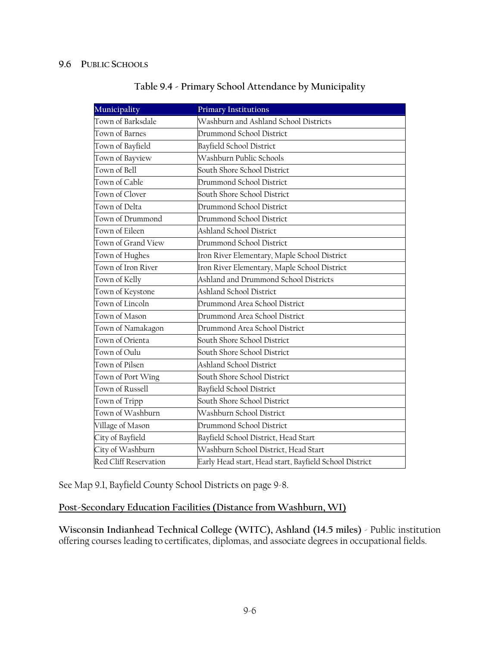| Municipality          | <b>Primary Institutions</b>                            |
|-----------------------|--------------------------------------------------------|
| Town of Barksdale     | Washburn and Ashland School Districts                  |
| Town of Barnes        | Drummond School District                               |
| Town of Bayfield      | Bayfield School District                               |
| Town of Bayview       | Washburn Public Schools                                |
| Town of Bell          | South Shore School District                            |
| Town of Cable         | Drummond School District                               |
| Town of Clover        | South Shore School District                            |
| Town of Delta         | Drummond School District                               |
| Town of Drummond      | Drummond School District                               |
| Town of Eileen        | <b>Ashland School District</b>                         |
| Town of Grand View    | Drummond School District                               |
| Town of Hughes        | Iron River Elementary, Maple School District           |
| Town of Iron River    | Iron River Elementary, Maple School District           |
| Town of Kelly         | Ashland and Drummond School Districts                  |
| Town of Keystone      | <b>Ashland School District</b>                         |
| Town of Lincoln       | Drummond Area School District                          |
| Town of Mason         | Drummond Area School District                          |
| Town of Namakagon     | Drummond Area School District                          |
| Town of Orienta       | South Shore School District                            |
| Town of Oulu          | South Shore School District                            |
| Town of Pilsen        | Ashland School District                                |
| Town of Port Wing     | South Shore School District                            |
| Town of Russell       | Bayfield School District                               |
| Town of Tripp         | South Shore School District                            |
| Town of Washburn      | Washburn School District                               |
| Village of Mason      | Drummond School District                               |
| City of Bayfield      | Bayfield School District, Head Start                   |
| City of Washburn      | Washburn School District, Head Start                   |
| Red Cliff Reservation | Early Head start, Head start, Bayfield School District |

# **Table 9.4 - Primary School Attendance by Municipality**

See Map 9.1, Bayfield County School Districts on page 9-8.

**Post-Secondary Education Facilities (Distance from Washburn, WI)**

**Wisconsin Indianhead Technical College (WITC), Ashland (14.5 miles)** - Public institution offering courses leading to certificates, diplomas, and associate degrees in occupational fields.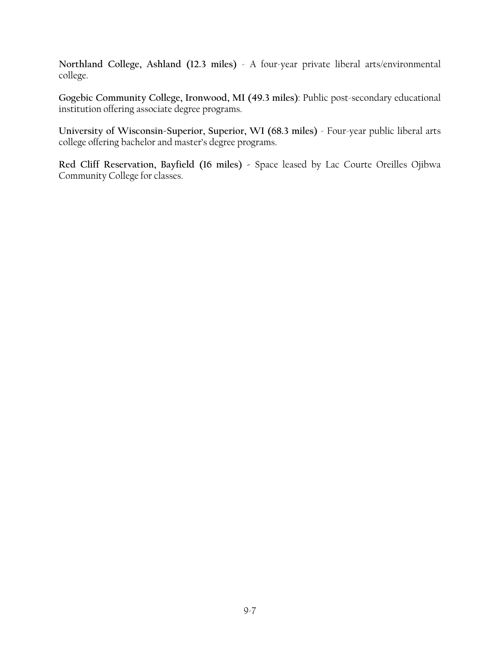**Northland College, Ashland (12.3 miles)** - A four-year private liberal arts/environmental college.

**Gogebic Community College, Ironwood, MI (49.3 miles)**: Public post-secondary educational institution offering associate degree programs.

**University of Wisconsin-Superior, Superior, WI (68.3 miles)** - Four-year public liberal arts college offering bachelor and master's degree programs.

**Red Cliff Reservation, Bayfield (16 miles) -** Space leased by Lac Courte Oreilles Ojibwa Community College for classes.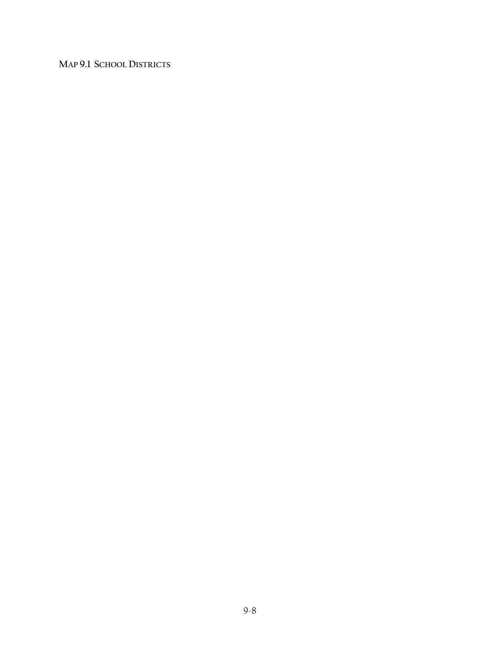**MAP 9.1 SCHOOL DISTRICTS**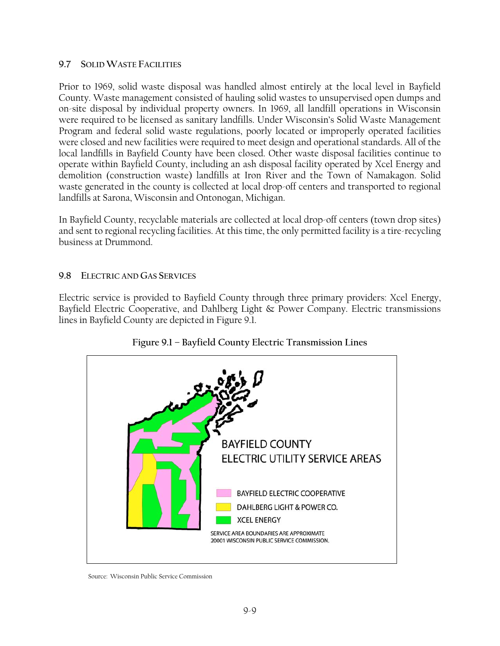#### **9.7 SOLID WASTE FACILITIES**

Prior to 1969, solid waste disposal was handled almost entirely at the local level in Bayfield County. Waste management consisted of hauling solid wastes to unsupervised open dumps and on-site disposal by individual property owners. In 1969, all landfill operations in Wisconsin were required to be licensed as sanitary landfills. Under Wisconsin's Solid Waste Management Program and federal solid waste regulations, poorly located or improperly operated facilities were closed and new facilities were required to meet design and operational standards. All of the local landfills in Bayfield County have been closed. Other waste disposal facilities continue to operate within Bayfield County, including an ash disposal facility operated by Xcel Energy and demolition (construction waste) landfills at Iron River and the Town of Namakagon. Solid waste generated in the county is collected at local drop-off centers and transported to regional landfills at Sarona, Wisconsin and Ontonogan, Michigan.

In Bayfield County, recyclable materials are collected at local drop-off centers (town drop sites) and sent to regional recycling facilities. At this time, the only permitted facility is a tire-recycling business at Drummond.

## **9.8 ELECTRIC AND GAS SERVICES**

Electric service is provided to Bayfield County through three primary providers: Xcel Energy, Bayfield Electric Cooperative, and Dahlberg Light & Power Company. Electric transmissions lines in Bayfield County are depicted in Figure 9.1.



# **Figure 9.1 – Bayfield County Electric Transmission Lines**

Source: Wisconsin Public Service Commission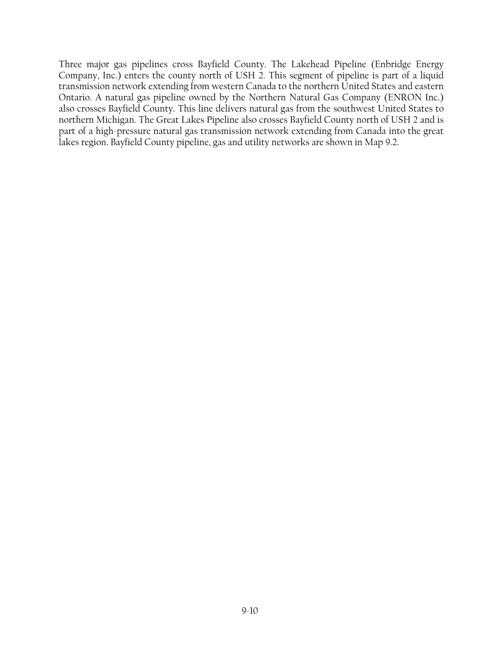Three major gas pipelines cross Bayfield County. The Lakehead Pipeline (Enbridge Energy Company, Inc.) enters the county north of USH 2. This segment of pipeline is part of a liquid transmission network extending from western Canada to the northern United States and eastern Ontario. A natural gas pipeline owned by the Northern Natural Gas Company (ENRON Inc.) also crosses Bayfield County. This line delivers natural gas from the southwest United States to northern Michigan. The Great Lakes Pipeline also crosses Bayfield County north of USH 2 and is part of a high-pressure natural gas transmission network extending from Canada into the great lakes region. Bayfield County pipeline, gas and utility networks are shown in Map 9.2.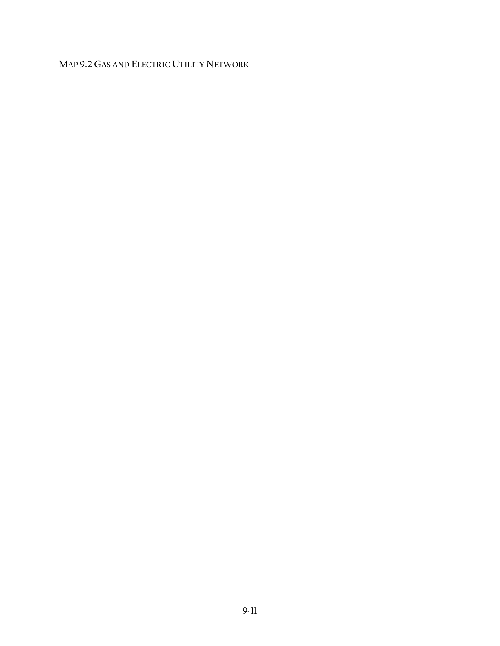# **MAP 9.2 GAS AND ELECTRIC UTILITY NETWORK**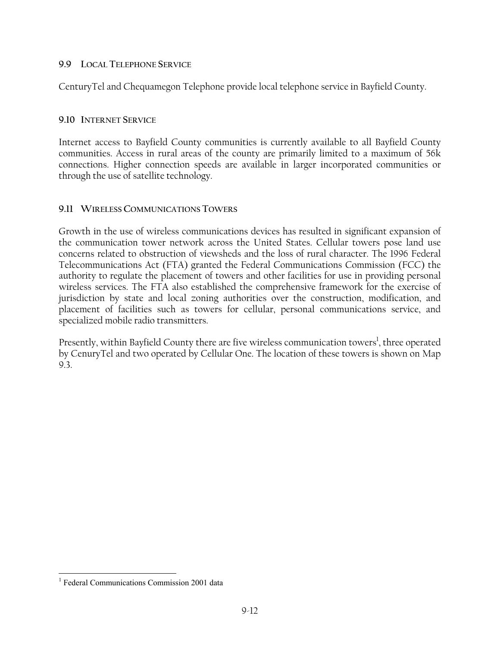#### **9.9 LOCAL TELEPHONE SERVICE**

CenturyTel and Chequamegon Telephone provide local telephone service in Bayfield County.

#### **9.10 INTERNET SERVICE**

Internet access to Bayfield County communities is currently available to all Bayfield County communities. Access in rural areas of the county are primarily limited to a maximum of 56k connections. Higher connection speeds are available in larger incorporated communities or through the use of satellite technology.

## **9.11 WIRELESS COMMUNICATIONS TOWERS**

Growth in the use of wireless communications devices has resulted in significant expansion of the communication tower network across the United States. Cellular towers pose land use concerns related to obstruction of viewsheds and the loss of rural character. The 1996 Federal Telecommunications Act (FTA) granted the Federal Communications Commission (FCC) the authority to regulate the placement of towers and other facilities for use in providing personal wireless services. The FTA also established the comprehensive framework for the exercise of jurisdiction by state and local zoning authorities over the construction, modification, and placement of facilities such as towers for cellular, personal communications service, and specialized mobile radio transmitters.

Presently, within Bayfield County there are five wireless communication towers $^{\rm l}$ , three operated by CenuryTel and two operated by Cellular One. The location of these towers is shown on Map 9.3.

 $\overline{a}$ 

<sup>&</sup>lt;sup>1</sup> Federal Communications Commission 2001 data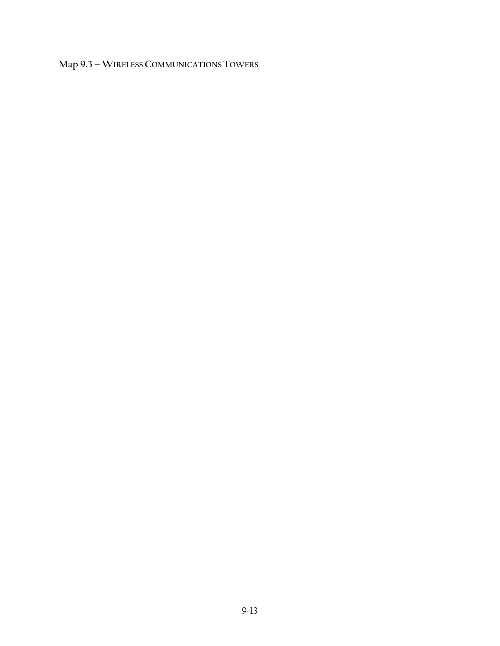# **Map 9.3 – WIRELESS COMMUNICATIONS TOWERS**